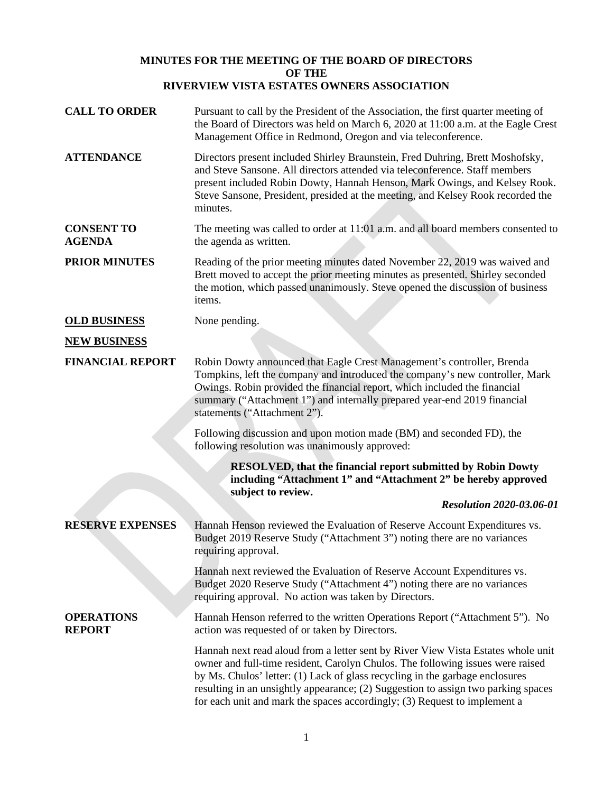## **MINUTES FOR THE MEETING OF THE BOARD OF DIRECTORS OF THE RIVERVIEW VISTA ESTATES OWNERS ASSOCIATION**

| <b>CALL TO ORDER</b>               | Pursuant to call by the President of the Association, the first quarter meeting of<br>the Board of Directors was held on March 6, 2020 at 11:00 a.m. at the Eagle Crest<br>Management Office in Redmond, Oregon and via teleconference.                                                                                                                                                                              |
|------------------------------------|----------------------------------------------------------------------------------------------------------------------------------------------------------------------------------------------------------------------------------------------------------------------------------------------------------------------------------------------------------------------------------------------------------------------|
| <b>ATTENDANCE</b>                  | Directors present included Shirley Braunstein, Fred Duhring, Brett Moshofsky,<br>and Steve Sansone. All directors attended via teleconference. Staff members<br>present included Robin Dowty, Hannah Henson, Mark Owings, and Kelsey Rook.<br>Steve Sansone, President, presided at the meeting, and Kelsey Rook recorded the<br>minutes.                                                                            |
| <b>CONSENT TO</b><br><b>AGENDA</b> | The meeting was called to order at 11:01 a.m. and all board members consented to<br>the agenda as written.                                                                                                                                                                                                                                                                                                           |
| <b>PRIOR MINUTES</b>               | Reading of the prior meeting minutes dated November 22, 2019 was waived and<br>Brett moved to accept the prior meeting minutes as presented. Shirley seconded<br>the motion, which passed unanimously. Steve opened the discussion of business<br>items.                                                                                                                                                             |
| <b>OLD BUSINESS</b>                | None pending.                                                                                                                                                                                                                                                                                                                                                                                                        |
| <b>NEW BUSINESS</b>                |                                                                                                                                                                                                                                                                                                                                                                                                                      |
| <b>FINANCIAL REPORT</b>            | Robin Dowty announced that Eagle Crest Management's controller, Brenda<br>Tompkins, left the company and introduced the company's new controller, Mark<br>Owings. Robin provided the financial report, which included the financial<br>summary ("Attachment 1") and internally prepared year-end 2019 financial<br>statements ("Attachment 2").                                                                      |
|                                    | Following discussion and upon motion made (BM) and seconded FD), the<br>following resolution was unanimously approved:                                                                                                                                                                                                                                                                                               |
|                                    | <b>RESOLVED, that the financial report submitted by Robin Dowty</b><br>including "Attachment 1" and "Attachment 2" be hereby approved<br>subject to review.                                                                                                                                                                                                                                                          |
|                                    | <b>Resolution 2020-03.06-01</b>                                                                                                                                                                                                                                                                                                                                                                                      |
| <b>RESERVE EXPENSES</b>            | Hannah Henson reviewed the Evaluation of Reserve Account Expenditures vs.<br>Budget 2019 Reserve Study ("Attachment 3") noting there are no variances<br>requiring approval.                                                                                                                                                                                                                                         |
|                                    | Hannah next reviewed the Evaluation of Reserve Account Expenditures vs.<br>Budget 2020 Reserve Study ("Attachment 4") noting there are no variances<br>requiring approval. No action was taken by Directors.                                                                                                                                                                                                         |
| <b>OPERATIONS</b><br><b>REPORT</b> | Hannah Henson referred to the written Operations Report ("Attachment 5"). No<br>action was requested of or taken by Directors.                                                                                                                                                                                                                                                                                       |
|                                    | Hannah next read aloud from a letter sent by River View Vista Estates whole unit<br>owner and full-time resident, Carolyn Chulos. The following issues were raised<br>by Ms. Chulos' letter: (1) Lack of glass recycling in the garbage enclosures<br>resulting in an unsightly appearance; (2) Suggestion to assign two parking spaces<br>for each unit and mark the spaces accordingly; (3) Request to implement a |